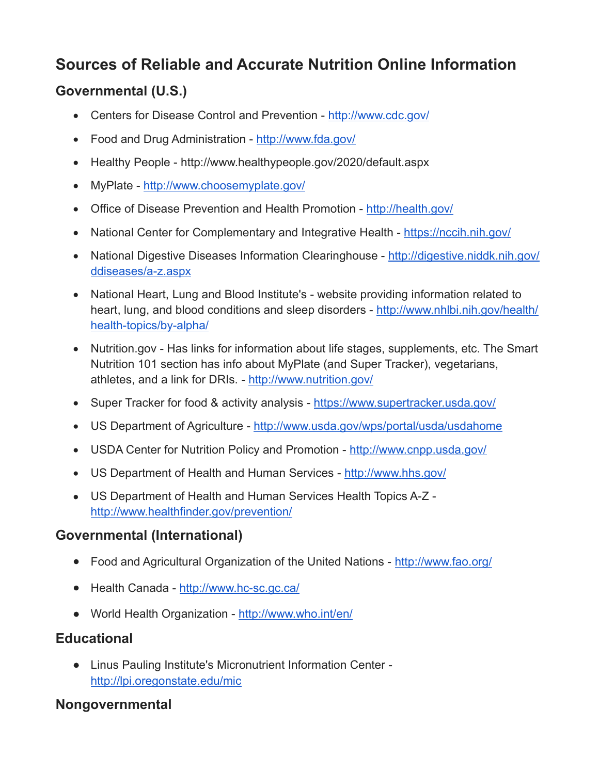# **Sources of Reliable and Accurate Nutrition Online Information**

## **Governmental (U.S.)**

- Centers for Disease Control and Prevention [http://www.cdc.gov/](http://www.cdc.gov)
- Food and Drug Administration -<http://www.fda.gov>/
- Healthy People <http://www.healthypeople.gov/2020/default.aspx>
- MyPlate [http://www.choosemyplate.gov/](http://www.choosemyplate.gov)
- Office of Disease Prevention and Health Promotion <http://health.gov>/
- National Center for Complementary and Integrative Health <https://nccih.nih.gov>/
- National Digestive Diseases Information Clearinghouse <http://digestive.niddk.nih.gov>/ ddiseases/a-z.aspx
- National Heart, Lung and Blood Institute's website providing information related to heart, lung, and blood conditions and sleep disorders - <http://www.nhlbi.nih.gov/health>/ health-topics/by-alpha/
- [Nutrition.gov](https://Nutrition.gov) Has links for information about life stages, supplements, etc. The Smart Nutrition 101 section has info about MyPlate (and Super Tracker), vegetarians, athletes, and a link for DRIs. - <http://www.nutrition.gov>/
- Super Tracker for food & activity analysis [https://www.supertracker.usda.gov/](https://www.supertracker.usda.gov)
- US Department of Agriculture http://www.usda.gov/wps/portal/usda/usdahome
- USDA Center for Nutrition Policy and Promotion -<http://www.cnpp.usda.gov>/
- US Department of Health and Human Services [http://www.hhs.gov/](http://www.hhs.gov)
- US Department of Health and Human Services Health Topics A-Z <http://www.healthfinder.gov/prevention>/

### **Governmental (International)**

- Food and Agricultural Organization of the United Nations [http://www.fao.org/](http://www.fao.org)
- Health Canada - [http://www.hc-sc.gc.ca/](http://www.hc-sc.gc.ca)
- World Health Organization <http://www.who.int/en>/

# **Educational**

 Linus Pauling Institute's Micronutrient Information Center <http://lpi.oregonstate.edu/mic>

### **Nongovernmental**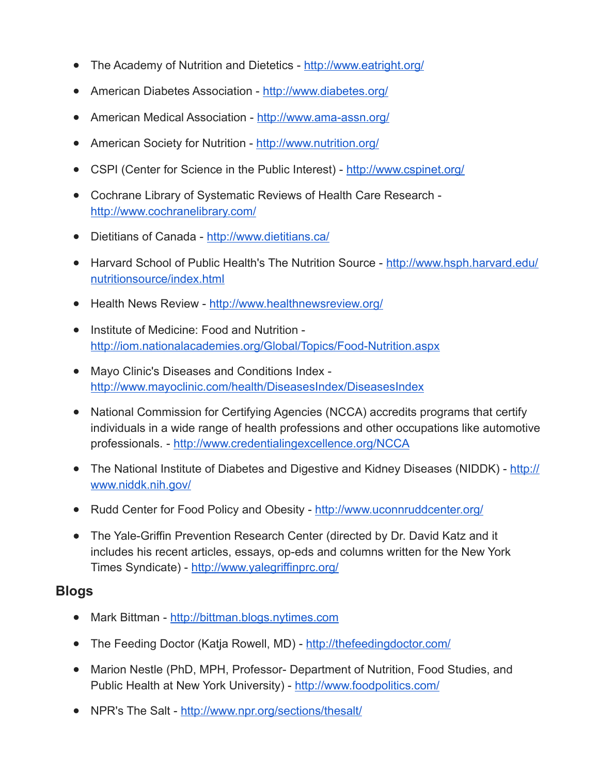- The Academy of Nutrition and Dietetics <http://www.eatright.org>/
- American Diabetes Association [http://www.diabetes.org/](http://www.diabetes.org)
- American Medical Association [http://www.ama-assn.org/](http://www.ama-assn.org)
- American Society for Nutrition -<http://www.nutrition.org>/
- CSPI (Center for Science in the Public Interest) -<http://www.cspinet.org>/
- Cochrane Library of Systematic Reviews of Health Care Research <http://www.cochranelibrary.com>/
- Dietitians of Canada -<http://www.dietitians.ca>/
- Harvard School of Public Health's The Nutrition Source [http://www.hsph.harvard.edu/](http://www.hsph.harvard.edu) nutritionsource/index.html
- Health News Review <http://www.healthnewsreview.org>/
- Institute of Medicine: Food and Nutrition <http://iom.nationalacademies.org/Global/Topics/Food-Nutrition.aspx>
- Mayo Clinic's Diseases and Conditions Index <http://www.mayoclinic.com/health/DiseasesIndex/DiseasesIndex>
- National Commission for Certifying Agencies (NCCA) accredits programs that certify individuals in a wide range of health professions and other occupations like automotive professionals. - <http://www.credentialingexcellence.org/NCCA>
- The National Institute of Diabetes and Digestive and Kidney Diseases (NIDDK) http:// <www.niddk.nih.gov>/
- Rudd Center for Food Policy and Obesity - [http://www.uconnruddcenter.org/](http://www.uconnruddcenter.org)
- The Yale-Griffin Prevention Research Center (directed by Dr. David Katz and it includes his recent articles, essays, op-eds and columns written for the New York Times Syndicate) - [http://www.yalegriffinprc.org/](http://www.yalegriffinprc.org)

#### **Blogs**

- Mark Bittman <http://bittman.blogs.nytimes.com>
- The Feeding Doctor (Katja Rowell, MD) [http://thefeedingdoctor.com/](http://thefeedingdoctor.com)
- Marion Nestle (PhD, MPH, Professor- Department of Nutrition, Food Studies, and Public Health at New York University) -<http://www.foodpolitics.com>/
- NPR's The Salt [http://www.npr.org/sections/thesalt/](http://www.npr.org/sections/thesalt)